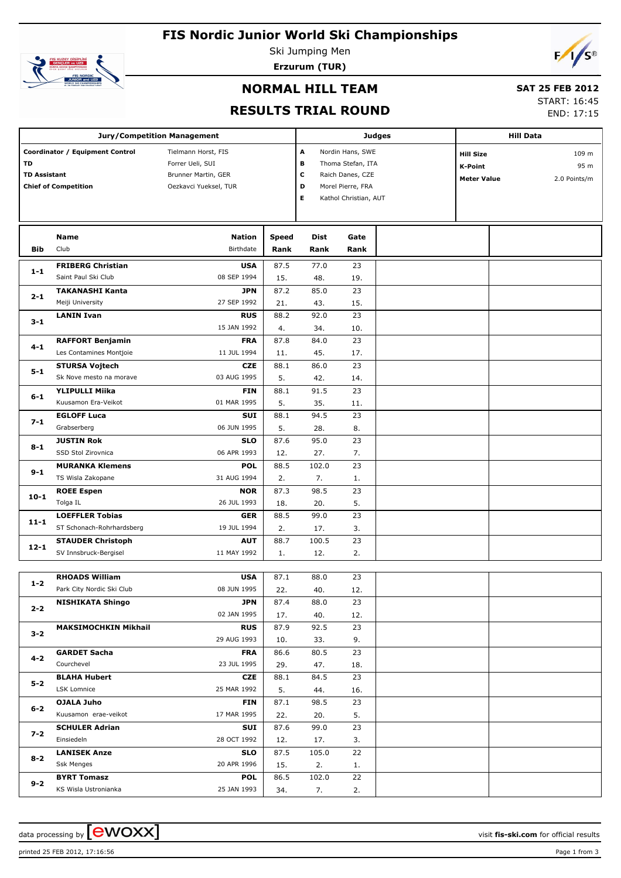# **FIS Nordic Junior World Ski Championships**



Ski Jumping Men **Erzurum (TUR)**

# $F/\sqrt{s^{\circ}}$

# **NORMAL HILL TEAM**

# **SAT 25 FEB 2012**

### **RESULTS TRIAL ROUND**

START: 16:45 END: 17:15

|                                                                                             | <b>Jury/Competition Management</b> |                                                                                         |                  |                                                                                | Judges                | <b>Hill Data</b>                                  |  |                               |  |
|---------------------------------------------------------------------------------------------|------------------------------------|-----------------------------------------------------------------------------------------|------------------|--------------------------------------------------------------------------------|-----------------------|---------------------------------------------------|--|-------------------------------|--|
| Coordinator / Equipment Control<br>TD<br><b>TD Assistant</b><br><b>Chief of Competition</b> |                                    | Tielmann Horst, FIS<br>Forrer Ueli, SUI<br>Brunner Martin, GER<br>Oezkavci Yueksel, TUR | A<br>в<br>с<br>D | Nordin Hans, SWE<br>Thoma Stefan, ITA<br>Raich Danes, CZE<br>Morel Pierre, FRA |                       | <b>Hill Size</b><br>K-Point<br><b>Meter Value</b> |  | 109 m<br>95 m<br>2.0 Points/m |  |
|                                                                                             |                                    |                                                                                         |                  | Е                                                                              | Kathol Christian, AUT |                                                   |  |                               |  |
|                                                                                             | Name                               | <b>Nation</b>                                                                           | Speed            | <b>Dist</b>                                                                    | Gate                  |                                                   |  |                               |  |
| Bib                                                                                         | Club                               | Birthdate                                                                               | Rank             | Rank                                                                           | Rank                  |                                                   |  |                               |  |
| $1-1$                                                                                       | <b>FRIBERG Christian</b>           | <b>USA</b>                                                                              | 87.5             | 77.0                                                                           | 23                    |                                                   |  |                               |  |
|                                                                                             | Saint Paul Ski Club                | 08 SEP 1994                                                                             | 15.              | 48.                                                                            | 19.                   |                                                   |  |                               |  |
| $2 - 1$                                                                                     | <b>TAKANASHI Kanta</b>             | <b>JPN</b>                                                                              | 87.2             | 85.0                                                                           | 23                    |                                                   |  |                               |  |
|                                                                                             | Meiji University                   | 27 SEP 1992                                                                             | 21.              | 43.                                                                            | 15.                   |                                                   |  |                               |  |
| $3 - 1$                                                                                     | <b>LANIN Ivan</b>                  | <b>RUS</b>                                                                              | 88.2             | 92.0                                                                           | 23                    |                                                   |  |                               |  |
|                                                                                             |                                    | 15 JAN 1992                                                                             | 4.               | 34.                                                                            | 10.                   |                                                   |  |                               |  |
| $4 - 1$                                                                                     | <b>RAFFORT Benjamin</b>            | <b>FRA</b>                                                                              | 87.8             | 84.0                                                                           | 23                    |                                                   |  |                               |  |
|                                                                                             | Les Contamines Montjoie            | 11 JUL 1994                                                                             | 11.              | 45.                                                                            | 17.                   |                                                   |  |                               |  |
| $5 - 1$                                                                                     | <b>STURSA Vojtech</b>              | <b>CZE</b>                                                                              | 88.1             | 86.0                                                                           | 23                    |                                                   |  |                               |  |
|                                                                                             | Sk Nove mesto na morave            | 03 AUG 1995                                                                             | 5.               | 42.                                                                            | 14.                   |                                                   |  |                               |  |
| $6 - 1$                                                                                     | <b>YLIPULLI Miika</b>              | <b>FIN</b>                                                                              | 88.1             | 91.5                                                                           | 23                    |                                                   |  |                               |  |
|                                                                                             | Kuusamon Era-Veikot                | 01 MAR 1995                                                                             | 5.               | 35.                                                                            | 11.                   |                                                   |  |                               |  |
| $7 - 1$                                                                                     | <b>EGLOFF Luca</b>                 | <b>SUI</b>                                                                              | 88.1             | 94.5                                                                           | 23                    |                                                   |  |                               |  |
|                                                                                             | Grabserberg                        | 06 JUN 1995                                                                             | 5.               | 28.                                                                            | 8.                    |                                                   |  |                               |  |
| $8 - 1$                                                                                     | <b>JUSTIN Rok</b>                  | <b>SLO</b>                                                                              | 87.6             | 95.0                                                                           | 23                    |                                                   |  |                               |  |
|                                                                                             | SSD Stol Zirovnica                 | 06 APR 1993                                                                             | 12.              | 27.                                                                            | 7.                    |                                                   |  |                               |  |
| $9 - 1$                                                                                     | <b>MURANKA Klemens</b>             | <b>POL</b>                                                                              | 88.5             | 102.0                                                                          | 23                    |                                                   |  |                               |  |
|                                                                                             | TS Wisla Zakopane                  | 31 AUG 1994<br><b>NOR</b>                                                               | 2.               | 7.<br>98.5                                                                     | 1.<br>23              |                                                   |  |                               |  |
| $10 - 1$                                                                                    | <b>ROEE Espen</b><br>Tolga IL      | 26 JUL 1993                                                                             | 87.3             | 20.                                                                            | 5.                    |                                                   |  |                               |  |
|                                                                                             | <b>LOEFFLER Tobias</b>             | <b>GER</b>                                                                              | 18.<br>88.5      | 99.0                                                                           | 23                    |                                                   |  |                               |  |
| $11 - 1$                                                                                    | ST Schonach-Rohrhardsberg          | 19 JUL 1994                                                                             | 2.               | 17.                                                                            | 3.                    |                                                   |  |                               |  |
|                                                                                             | <b>STAUDER Christoph</b>           | <b>AUT</b>                                                                              | 88.7             | 100.5                                                                          | 23                    |                                                   |  |                               |  |
| $12 - 1$                                                                                    | SV Innsbruck-Bergisel              | 11 MAY 1992                                                                             | 1.               | 12.                                                                            | 2.                    |                                                   |  |                               |  |
|                                                                                             |                                    |                                                                                         |                  |                                                                                |                       |                                                   |  |                               |  |
|                                                                                             | <b>RHOADS William</b>              | <b>USA</b>                                                                              | 87.1             | 88.0                                                                           | 23                    |                                                   |  |                               |  |
| $1 - 2$                                                                                     | Park City Nordic Ski Club          | 08 JUN 1995                                                                             | 22.              | 40.                                                                            | 12.                   |                                                   |  |                               |  |
|                                                                                             | <b>NISHIKATA Shingo</b>            | JPN                                                                                     | 87.4             | 88.0                                                                           | 23                    |                                                   |  |                               |  |
| $2 - 2$                                                                                     |                                    | 02 JAN 1995                                                                             | 17.              | 40.                                                                            | 12.                   |                                                   |  |                               |  |
|                                                                                             | <b>MAKSIMOCHKIN Mikhail</b>        | <b>RUS</b>                                                                              | 87.9             | 92.5                                                                           | 23                    |                                                   |  |                               |  |
| $3 - 2$                                                                                     |                                    | 29 AUG 1993                                                                             | 10.              | 33.                                                                            | 9.                    |                                                   |  |                               |  |
|                                                                                             | <b>GARDET Sacha</b>                | <b>FRA</b>                                                                              | 86.6             | 80.5                                                                           | 23                    |                                                   |  |                               |  |
| 4-2                                                                                         | Courchevel                         | 23 JUL 1995                                                                             | 29.              | 47.                                                                            | 18.                   |                                                   |  |                               |  |
|                                                                                             | <b>BLAHA Hubert</b>                | <b>CZE</b>                                                                              | 88.1             | 84.5                                                                           | 23                    |                                                   |  |                               |  |
| 5-2                                                                                         | LSK Lomnice                        | 25 MAR 1992                                                                             | 5.               | 44.                                                                            | 16.                   |                                                   |  |                               |  |
| 6-2                                                                                         | <b>OJALA Juho</b>                  | <b>FIN</b>                                                                              | 87.1             | 98.5                                                                           | 23                    |                                                   |  |                               |  |
|                                                                                             | Kuusamon erae-veikot               | 17 MAR 1995                                                                             | 22.              | 20.                                                                            | 5.                    |                                                   |  |                               |  |
| $7 - 2$                                                                                     | <b>SCHULER Adrian</b>              | <b>SUI</b>                                                                              | 87.6             | 99.0                                                                           | 23                    |                                                   |  |                               |  |
|                                                                                             | Einsiedeln                         | 28 OCT 1992                                                                             | 12.              | 17.                                                                            | 3.                    |                                                   |  |                               |  |
| $8 - 2$                                                                                     | <b>LANISEK Anze</b>                | <b>SLO</b>                                                                              | 87.5             | 105.0                                                                          | 22                    |                                                   |  |                               |  |
|                                                                                             | <b>Ssk Menges</b>                  | 20 APR 1996                                                                             | 15.              | 2.                                                                             | 1.                    |                                                   |  |                               |  |
| $9 - 2$                                                                                     | <b>BYRT Tomasz</b>                 | <b>POL</b>                                                                              | 86.5             | 102.0                                                                          | 22                    |                                                   |  |                               |  |
|                                                                                             | KS Wisla Ustronianka               | 25 JAN 1993                                                                             | 34.              | 7.                                                                             | 2.                    |                                                   |  |                               |  |

data processing by **CWOXX**  $\blacksquare$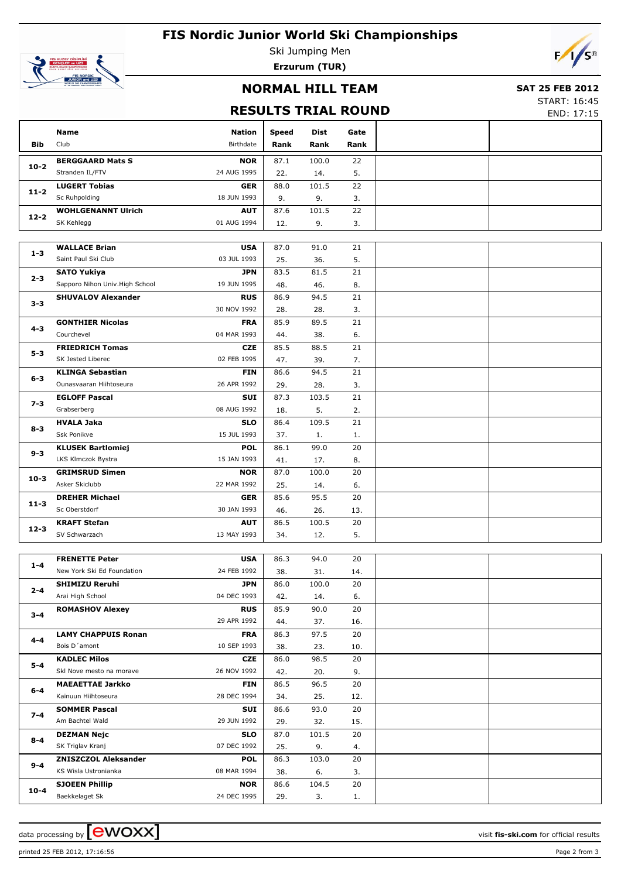# **FIS Nordic Junior World Ski Championships**



Ski Jumping Men **Erzurum (TUR)**

### **NORMAL HILL TEAM**

#### **SAT 25 FEB 2012**

## **RESULTS TRIAL ROUND**

START: 16:45 END: 17:15

 $F/\sqrt{s^{\circ}}$ 

|                                | <b>Name</b>                                    | <b>Nation</b>             | <b>Speed</b> | Dist         | Gate     |  |
|--------------------------------|------------------------------------------------|---------------------------|--------------|--------------|----------|--|
| <b>Bib</b>                     | Club                                           | Birthdate                 | Rank         | Rank         | Rank     |  |
|                                | <b>BERGGAARD Mats S</b>                        | <b>NOR</b>                | 87.1         | 100.0        | 22       |  |
| $10 - 2$                       | Stranden IL/FTV                                | 24 AUG 1995               | 22.          | 14.          | 5.       |  |
|                                | <b>LUGERT Tobias</b>                           | <b>GER</b>                | 88.0         | 101.5        | 22       |  |
| $11 - 2$                       | Sc Ruhpolding                                  | 18 JUN 1993               | 9.           | 9.           | 3.       |  |
|                                | <b>WOHLGENANNT Ulrich</b>                      | <b>AUT</b>                | 87.6         | 101.5        | 22       |  |
| $12 - 2$                       | SK Kehlegg                                     | 01 AUG 1994               | 12.          | 9.           | 3.       |  |
|                                |                                                |                           |              |              |          |  |
|                                | <b>WALLACE Brian</b>                           | <b>USA</b>                | 87.0         | 91.0         | 21       |  |
| $1 - 3$                        | Saint Paul Ski Club                            | 03 JUL 1993               | 25.          | 36.          | 5.       |  |
|                                | <b>SATO Yukiya</b>                             | <b>JPN</b>                | 83.5         | 81.5         | 21       |  |
| 2-3                            | Sapporo Nihon Univ. High School                | 19 JUN 1995               | 48.          | 46.          | 8.       |  |
|                                | <b>SHUVALOV Alexander</b>                      | <b>RUS</b>                | 86.9         | 94.5         | 21       |  |
| $3 - 3$                        |                                                | 30 NOV 1992               | 28.          | 28.          | 3.       |  |
|                                | <b>GONTHIER Nicolas</b>                        | <b>FRA</b>                | 85.9         | 89.5         | 21       |  |
| $4 - 3$                        | Courchevel                                     | 04 MAR 1993               | 44.          | 38.          | 6.       |  |
|                                | <b>FRIEDRICH Tomas</b>                         | <b>CZE</b>                | 85.5         | 88.5         | 21       |  |
| $5 - 3$                        | SK Jested Liberec                              | 02 FEB 1995               | 47.          | 39.          | 7.       |  |
|                                | <b>KLINGA Sebastian</b>                        | <b>FIN</b>                | 86.6         | 94.5         | 21       |  |
| 6-3                            | Ounasvaaran Hiihtoseura                        | 26 APR 1992               | 29.          | 28.          | 3.       |  |
|                                | <b>EGLOFF Pascal</b>                           | <b>SUI</b>                | 87.3         | 103.5        | 21       |  |
| $7 - 3$                        | Grabserberg                                    | 08 AUG 1992               |              | 5.           |          |  |
|                                |                                                |                           | 18.          |              | 2.       |  |
| $8 - 3$<br>$9 - 3$<br>$10 - 3$ | <b>HVALA Jaka</b><br>Ssk Ponikve               | <b>SLO</b><br>15 JUL 1993 | 86.4         | 109.5        | 21       |  |
|                                |                                                |                           | 37.          | 1.           | 1.       |  |
|                                | <b>KLUSEK Bartlomiej</b><br>LKS Klmczok Bystra | <b>POL</b><br>15 JAN 1993 | 86.1         | 99.0         | 20       |  |
|                                |                                                |                           | 41.          | 17.<br>100.0 | 8.<br>20 |  |
|                                | <b>GRIMSRUD Simen</b><br>Asker Skiclubb        | <b>NOR</b><br>22 MAR 1992 | 87.0<br>25.  | 14.          | 6.       |  |
|                                |                                                |                           |              |              |          |  |
| $11 - 3$                       | <b>DREHER Michael</b><br>Sc Oberstdorf         | <b>GER</b><br>30 JAN 1993 | 85.6         | 95.5         | 20       |  |
|                                |                                                |                           | 46.          | 26.          | 13.      |  |
| $12 - 3$                       | <b>KRAFT Stefan</b><br>SV Schwarzach           | <b>AUT</b><br>13 MAY 1993 | 86.5         | 100.5        | 20       |  |
|                                |                                                |                           | 34.          | 12.          | 5.       |  |
|                                | <b>FRENETTE Peter</b>                          | <b>USA</b>                | 86.3         | 94.0         | 20       |  |
| $1 - 4$                        | New York Ski Ed Foundation                     | 24 FEB 1992               | 38.          | 31.          | 14.      |  |
|                                | <b>SHIMIZU Reruhi</b>                          |                           |              |              | 20       |  |
| $2 - 4$                        | Arai High School                               | <b>JPN</b><br>04 DEC 1993 | 86.0         | 100.0        | 6.       |  |
|                                |                                                |                           | 42.          | 14.          |          |  |
| $3 - 4$                        | <b>ROMASHOV Alexey</b>                         | <b>RUS</b><br>29 APR 1992 | 85.9         | 90.0<br>37.  | 20       |  |
|                                |                                                |                           | 44.          |              | 16.      |  |
| 4-4                            | <b>LAMY CHAPPUIS Ronan</b><br>Bois D'amont     | <b>FRA</b><br>10 SEP 1993 | 86.3         | 97.5         | 20       |  |
|                                |                                                |                           | 38.          | 23.          | 10.      |  |
| 5-4                            | <b>KADLEC Milos</b>                            | CZE                       | 86.0         | 98.5         | 20       |  |
|                                | Skl Nove mesto na morave                       | 26 NOV 1992               | 42.          | 20.          | 9.       |  |
| 6-4                            | <b>MAEAETTAE Jarkko</b>                        | <b>FIN</b>                | 86.5         | 96.5         | 20       |  |
|                                | Kainuun Hiihtoseura                            | 28 DEC 1994               | 34.          | 25.          | 12.      |  |
| $7 - 4$                        | <b>SOMMER Pascal</b>                           | SUI                       | 86.6         | 93.0         | 20       |  |
|                                | Am Bachtel Wald                                | 29 JUN 1992               | 29.          | 32.          | 15.      |  |
| $8-4$                          | <b>DEZMAN Nejc</b>                             | <b>SLO</b>                | 87.0         | 101.5        | 20       |  |
|                                | SK Triglav Kranj                               | 07 DEC 1992               | 25.          | 9.           | 4.       |  |
| 9-4                            | <b>ZNISZCZOL Aleksander</b>                    | <b>POL</b>                | 86.3         | 103.0        | 20       |  |
|                                | KS Wisla Ustronianka                           | 08 MAR 1994               | 38.          | 6.           | 3.       |  |
| $10 - 4$                       | <b>SJOEEN Phillip</b>                          | <b>NOR</b>                | 86.6         | 104.5        | 20       |  |
|                                | Baekkelaget Sk                                 | 24 DEC 1995               | 29.          | 3.           | 1.       |  |